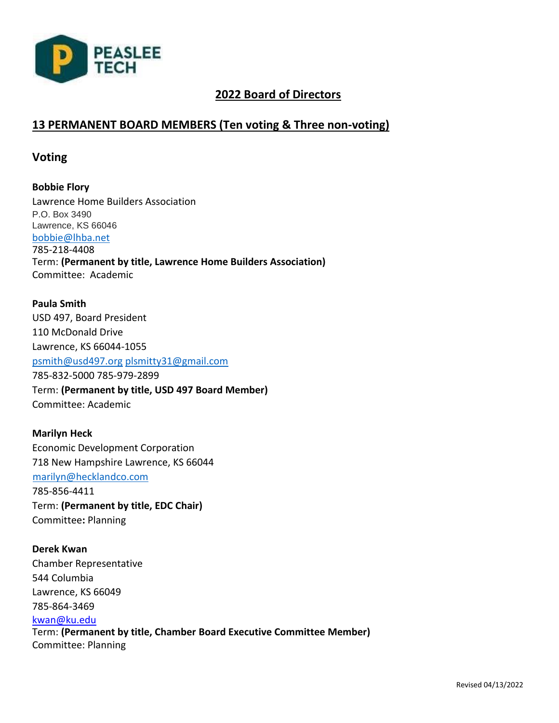

# **2022 Board of Directors**

# **13 PERMANENT BOARD MEMBERS (Ten voting & Three non-voting)**

## **Voting**

**Bobbie Flory** Lawrence Home Builders Association P.O. Box 3490 Lawrence, KS 66046 [bobbie@lhba.net](mailto:bobbie@lhba.net) 785-218-4408 Term: **(Permanent by title, Lawrence Home Builders Association)**  Committee: Academic

**Paula Smith** USD 497, Board President 110 McDonald Drive Lawrence, KS 66044-1055 [psmith@usd497.org](mailto:psmith@usd497.org) [plsmitty31@gmail.com](mailto:plsmitty31@gmail.com) 785-832-5000 785-979-2899 Term: **(Permanent by title, USD 497 Board Member)**  Committee: Academic

**Marilyn Heck** Economic Development Corporation 718 New Hampshire Lawrence, KS 66044 [marilyn@hecklandco.com](mailto:marilyn@hecklandco.com) 785-856-4411 Term: **(Permanent by title, EDC Chair)**  Committee**:** Planning

**Derek Kwan** Chamber Representative 544 Columbia Lawrence, KS 66049 785-864-3469 kwan@ku.edu Term: **(Permanent by title, Chamber Board Executive Committee Member)** Committee: Planning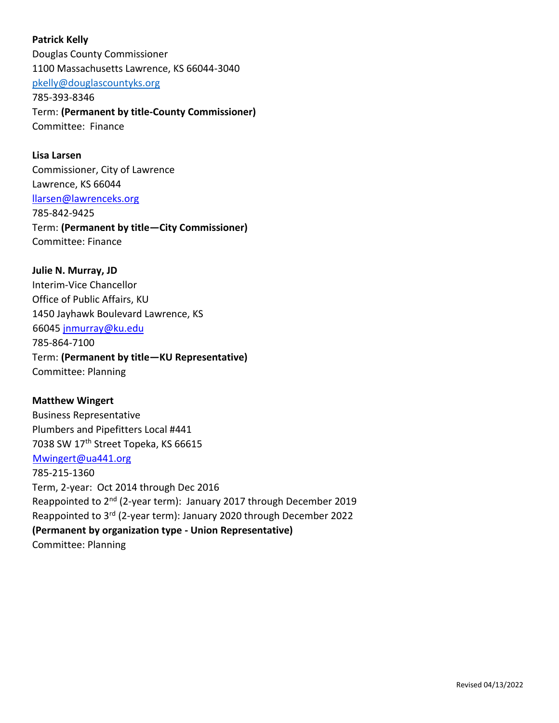**Patrick Kelly** Douglas County Commissioner 1100 Massachusetts Lawrence, KS 66044-3040 [pkelly@douglascountyks.org](mailto:pkelly@douglascountyks.org) 785-393-8346 Term: **(Permanent by title-County Commissioner)**  Committee: Finance

**Lisa Larsen**  Commissioner, City of Lawrence Lawrence, KS 66044 llarsen@lawrenceks.org 785-842-9425 Term: **(Permanent by title—City Commissioner)**  Committee: Finance

**Julie N. Murray, JD** Interim-Vice Chancellor Office of Public Affairs, KU 1450 Jayhawk Boulevard Lawrence, KS 66045 jnmurray@ku.edu 785-864-7100 Term: **(Permanent by title—KU Representative)**  Committee: Planning

**Matthew Wingert** Business Representative Plumbers and Pipefitters Local #441 7038 SW 17<sup>th</sup> Street Topeka, KS 66615 Mwingert@ua441.org 785-215-1360 Term, 2-year: Oct 2014 through Dec 2016 Reappointed to 2nd (2-year term): January 2017 through December 2019 Reappointed to 3rd (2-year term): January 2020 through December 2022 **(Permanent by organization type - Union Representative)**  Committee: Planning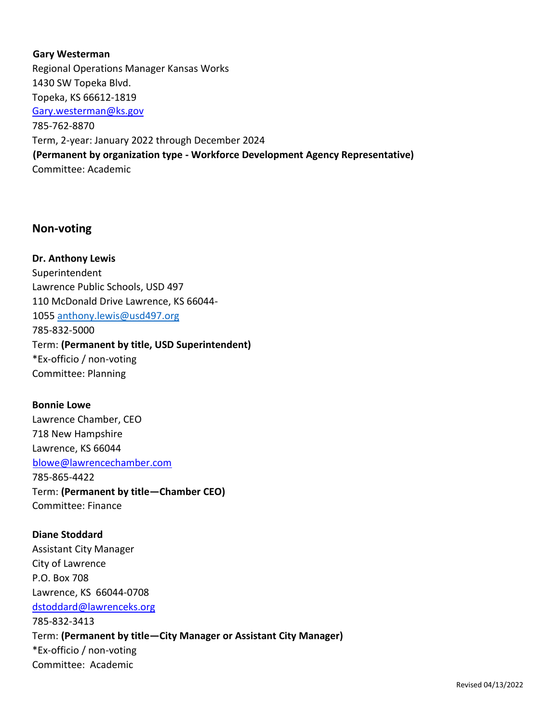## **Gary Westerman**

Regional Operations Manager Kansas Works 1430 SW Topeka Blvd. Topeka, KS 66612-1819 Gary.westerman@ks.gov 785-762-8870 Term, 2-year: January 2022 through December 2024 **(Permanent by organization type - Workforce Development Agency Representative)**  Committee: Academic

## **Non-voting**

**Dr. Anthony Lewis**  Superintendent Lawrence Public Schools, USD 497 110 McDonald Drive Lawrence, KS 66044- 1055 [anthony.lewis@usd497.org](mailto:anthony.lewis@usd497.org) 785-832-5000 Term: **(Permanent by title, USD Superintendent)**  \*Ex-officio / non-voting Committee: Planning

## **Bonnie Lowe**

Lawrence Chamber, CEO 718 New Hampshire Lawrence, KS 66044 blowe@lawrencechamber.com 785-865-4422 Term: **(Permanent by title—Chamber CEO)**  Committee: Finance

**Diane Stoddard** Assistant City Manager City of Lawrence P.O. Box 708 Lawrence, KS 66044-0708 dstoddard@lawrenceks.org 785-832-3413 Term: **(Permanent by title—City Manager or Assistant City Manager)**  \*Ex-officio / non-voting Committee: Academic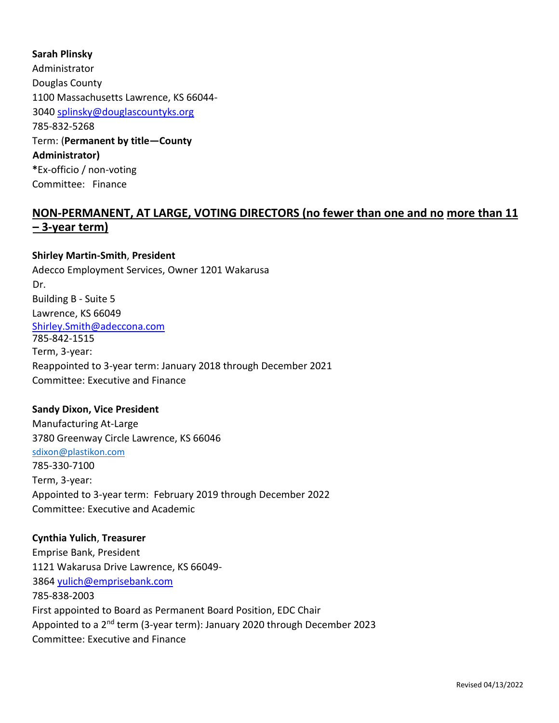## **Sarah Plinsky**

Administrator Douglas County 1100 Massachusetts Lawrence, KS 66044- 3040 splinsky@douglascountyks.org 785-832-5268 Term: (**Permanent by title—County Administrator) \***Ex-officio / non-voting Committee: Finance

# **NON-PERMANENT, AT LARGE, VOTING DIRECTORS (no fewer than one and no more than 11 – 3-year term)**

## **Shirley Martin-Smith**, **President**

Adecco Employment Services, Owner 1201 Wakarusa Dr. Building B - Suite 5 Lawrence, KS 66049 Shirley.Smith@adeccona.com 785-842-1515 Term, 3-year: Reappointed to 3-year term: January 2018 through December 2021 Committee: Executive and Finance

#### **Sandy Dixon, Vice President**

Manufacturing At-Large 3780 Greenway Circle Lawrence, KS 66046 [sdixon@plastikon.com](mailto:sdixon@plastikon.com) 785-330-7100 Term, 3-year: Appointed to 3-year term: February 2019 through December 2022 Committee: Executive and Academic

#### **Cynthia Yulich**, **Treasurer**

Emprise Bank, President 1121 Wakarusa Drive Lawrence, KS 66049- 3864 yulich@emprisebank.com 785-838-2003 First appointed to Board as Permanent Board Position, EDC Chair Appointed to a 2<sup>nd</sup> term (3-year term): January 2020 through December 2023 Committee: Executive and Finance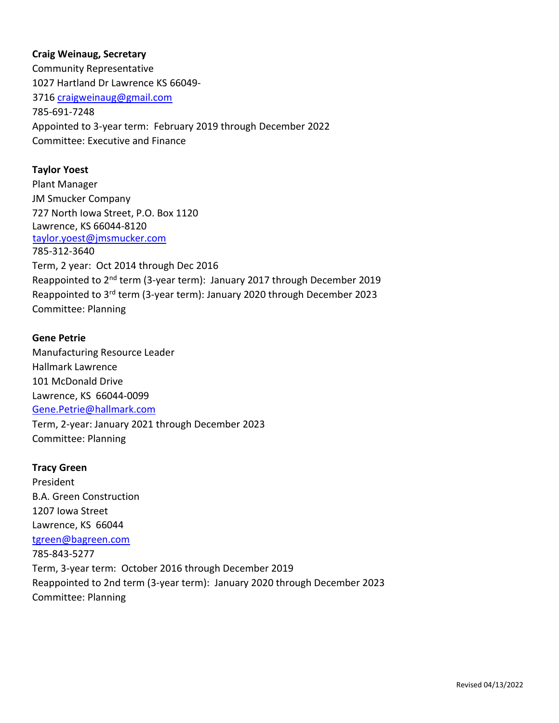## **Craig Weinaug, Secretary**

Community Representative 1027 Hartland Dr Lawrence KS 66049- 3716 craigweinaug@gmail.com 785-691-7248 Appointed to 3-year term: February 2019 through December 2022 Committee: Executive and Finance

## **Taylor Yoest**

Plant Manager JM Smucker Company 727 North Iowa Street, P.O. Box 1120 Lawrence, KS 66044-8120 taylor.yoest@jmsmucker.com 785-312-3640 Term, 2 year: Oct 2014 through Dec 2016 Reappointed to 2<sup>nd</sup> term (3-year term): January 2017 through December 2019 Reappointed to 3rd term (3-year term): January 2020 through December 2023 Committee: Planning

## **Gene Petrie**

Manufacturing Resource Leader Hallmark Lawrence 101 McDonald Drive Lawrence, KS 66044-0099 Gene.Petrie@hallmark.com Term, 2-year: January 2021 through December 2023 Committee: Planning

## **Tracy Green**

President B.A. Green Construction 1207 Iowa Street Lawrence, KS 66044 tgreen@bagreen.com 785-843-5277 Term, 3-year term: October 2016 through December 2019 Reappointed to 2nd term (3-year term): January 2020 through December 2023 Committee: Planning